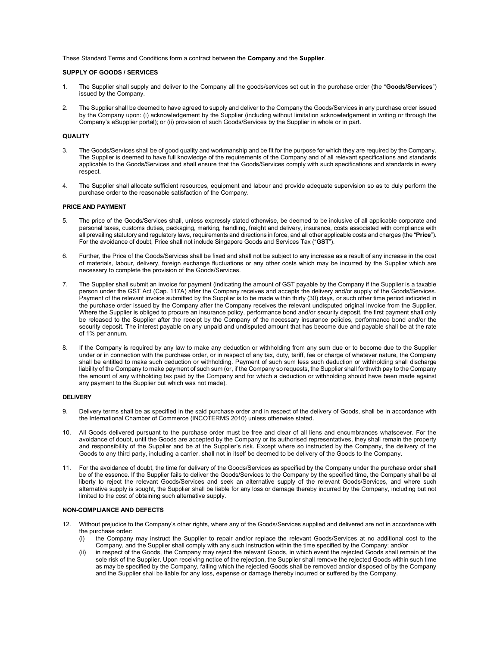These Standard Terms and Conditions form a contract between the Company and the Supplier.

## SUPPLY OF GOODS / SERVICES

- 1. The Supplier shall supply and deliver to the Company all the goods/services set out in the purchase order (the "Goods/Services") issued by the Company.
- 2. The Supplier shall be deemed to have agreed to supply and deliver to the Company the Goods/Services in any purchase order issued by the Company upon: (i) acknowledgement by the Supplier (including without limitation acknowledgement in writing or through the Company's eSupplier portal); or (ii) provision of such Goods/Services by the Supplier in whole or in part.

## **QUALITY**

- 3. The Goods/Services shall be of good quality and workmanship and be fit for the purpose for which they are required by the Company. The Supplier is deemed to have full knowledge of the requirements of the Company and of all relevant specifications and standards applicable to the Goods/Services and shall ensure that the Goods/Services comply with such specifications and standards in every respect.
- 4. The Supplier shall allocate sufficient resources, equipment and labour and provide adequate supervision so as to duly perform the purchase order to the reasonable satisfaction of the Company.

## PRICE AND PAYMENT

- 5. The price of the Goods/Services shall, unless expressly stated otherwise, be deemed to be inclusive of all applicable corporate and personal taxes, customs duties, packaging, marking, handling, freight and delivery, insurance, costs associated with compliance with all prevailing statutory and regulatory laws, requirements and directions in force, and all other applicable costs and charges (the "Price"). For the avoidance of doubt, Price shall not include Singapore Goods and Services Tax ("GST").
- 6. Further, the Price of the Goods/Services shall be fixed and shall not be subject to any increase as a result of any increase in the cost of materials, labour, delivery, foreign exchange fluctuations or any other costs which may be incurred by the Supplier which are necessary to complete the provision of the Goods/Services.
- 7. The Supplier shall submit an invoice for payment (indicating the amount of GST payable by the Company if the Supplier is a taxable person under the GST Act (Cap. 117A) after the Company receives and accepts the delivery and/or supply of the Goods/Services. Payment of the relevant invoice submitted by the Supplier is to be made within thirty (30) days, or such other time period indicated in the purchase order issued by the Company after the Company receives the relevant undisputed original invoice from the Supplier. Where the Supplier is obliged to procure an insurance policy, performance bond and/or security deposit, the first payment shall only be released to the Supplier after the receipt by the Company of the necessary insurance policies, performance bond and/or the security deposit. The interest payable on any unpaid and undisputed amount that has become due and payable shall be at the rate of 1% per annum.
- 8. If the Company is required by any law to make any deduction or withholding from any sum due or to become due to the Supplier under or in connection with the purchase order, or in respect of any tax, duty, tariff, fee or charge of whatever nature, the Company shall be entitled to make such deduction or withholding. Payment of such sum less such deduction or withholding shall discharge liability of the Company to make payment of such sum (or, if the Company so requests, the Supplier shall forthwith pay to the Company the amount of any withholding tax paid by the Company and for which a deduction or withholding should have been made against any payment to the Supplier but which was not made).

## DELIVERY

- 9. Delivery terms shall be as specified in the said purchase order and in respect of the delivery of Goods, shall be in accordance with the International Chamber of Commerce (INCOTERMS 2010) unless otherwise stated.
- 10. All Goods delivered pursuant to the purchase order must be free and clear of all liens and encumbrances whatsoever. For the avoidance of doubt, until the Goods are accepted by the Company or its authorised representatives, they shall remain the property and responsibility of the Supplier and be at the Supplier's risk. Except where so instructed by the Company, the delivery of the Goods to any third party, including a carrier, shall not in itself be deemed to be delivery of the Goods to the Company.
- 11. For the avoidance of doubt, the time for delivery of the Goods/Services as specified by the Company under the purchase order shall be of the essence. If the Supplier fails to deliver the Goods/Services to the Company by the specified time, the Company shall be at liberty to reject the relevant Goods/Services and seek an alternative supply of the relevant Goods/Services, and where such alternative supply is sought, the Supplier shall be liable for any loss or damage thereby incurred by the Company, including but not limited to the cost of obtaining such alternative supply.

# NON-COMPLIANCE AND DEFECTS

- 12. Without prejudice to the Company's other rights, where any of the Goods/Services supplied and delivered are not in accordance with the purchase order:
	- (i) the Company may instruct the Supplier to repair and/or replace the relevant Goods/Services at no additional cost to the Company, and the Supplier shall comply with any such instruction within the time specified by the Company; and/or
	- (ii) in respect of the Goods, the Company may reject the relevant Goods, in which event the rejected Goods shall remain at the sole risk of the Supplier. Upon receiving notice of the rejection, the Supplier shall remove the rejected Goods within such time as may be specified by the Company, failing which the rejected Goods shall be removed and/or disposed of by the Company and the Supplier shall be liable for any loss, expense or damage thereby incurred or suffered by the Company.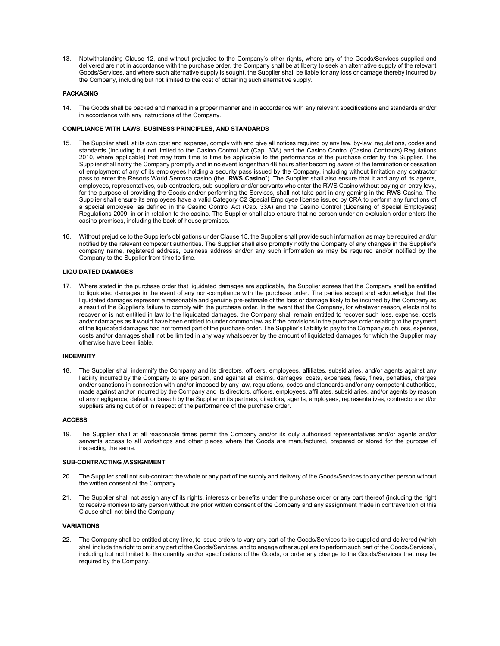13. Notwithstanding Clause 12, and without prejudice to the Company's other rights, where any of the Goods/Services supplied and delivered are not in accordance with the purchase order, the Company shall be at liberty to seek an alternative supply of the relevant Goods/Services, and where such alternative supply is sought, the Supplier shall be liable for any loss or damage thereby incurred by the Company, including but not limited to the cost of obtaining such alternative supply.

### PACKAGING

14. The Goods shall be packed and marked in a proper manner and in accordance with any relevant specifications and standards and/or in accordance with any instructions of the Company.

# COMPLIANCE WITH LAWS, BUSINESS PRINCIPLES, AND STANDARDS

- 15. The Supplier shall, at its own cost and expense, comply with and give all notices required by any law, by-law, regulations, codes and standards (including but not limited to the Casino Control Act (Cap. 33A) and the Casino Control (Casino Contracts) Regulations 2010, where applicable) that may from time to time be applicable to the performance of the purchase order by the Supplier. The Supplier shall notify the Company promptly and in no event longer than 48 hours after becoming aware of the termination or cessation of employment of any of its employees holding a security pass issued by the Company, including without limitation any contractor pass to enter the Resorts World Sentosa casino (the "RWS Casino"). The Supplier shall also ensure that it and any of its agents, employees, representatives, sub-contractors, sub-suppliers and/or servants who enter the RWS Casino without paying an entry levy, for the purpose of providing the Goods and/or performing the Services, shall not take part in any gaming in the RWS Casino. The Supplier shall ensure its employees have a valid Category C2 Special Employee license issued by CRA to perform any functions of a special employee, as defined in the Casino Control Act (Cap. 33A) and the Casino Control (Licensing of Special Employees) Regulations 2009, in or in relation to the casino. The Supplier shall also ensure that no person under an exclusion order enters the casino premises, including the back of house premises.
- 16. Without prejudice to the Supplier's obligations under Clause 15, the Supplier shall provide such information as may be required and/or notified by the relevant competent authorities. The Supplier shall also promptly notify the Company of any changes in the Supplier's company name, registered address, business address and/or any such information as may be required and/or notified by the Company to the Supplier from time to time.

### LIQUIDATED DAMAGES

17. Where stated in the purchase order that liquidated damages are applicable, the Supplier agrees that the Company shall be entitled to liquidated damages in the event of any non-compliance with the purchase order. The parties accept and acknowledge that the liquidated damages represent a reasonable and genuine pre-estimate of the loss or damage likely to be incurred by the Company as a result of the Supplier's failure to comply with the purchase order. In the event that the Company, for whatever reason, elects not to recover or is not entitled in law to the liquidated damages, the Company shall remain entitled to recover such loss, expense, costs and/or damages as it would have been entitled to under common law as if the provisions in the purchase order relating to the payment of the liquidated damages had not formed part of the purchase order. The Supplier's liability to pay to the Company such loss, expense, costs and/or damages shall not be limited in any way whatsoever by the amount of liquidated damages for which the Supplier may otherwise have been liable.

#### INDEMNITY

18. The Supplier shall indemnify the Company and its directors, officers, employees, affiliates, subsidiaries, and/or agents against any liability incurred by the Company to any person, and against all claims, damages, costs, expenses, fees, fines, penalties, charges and/or sanctions in connection with and/or imposed by any law, regulations, codes and standards and/or any competent authorities, made against and/or incurred by the Company and its directors, officers, employees, affiliates, subsidiaries, and/or agents by reason of any negligence, default or breach by the Supplier or its partners, directors, agents, employees, representatives, contractors and/or suppliers arising out of or in respect of the performance of the purchase order.

#### ACCESS

19. The Supplier shall at all reasonable times permit the Company and/or its duly authorised representatives and/or agents and/or servants access to all workshops and other places where the Goods are manufactured, prepared or stored for the purpose of inspecting the same.

#### SUB-CONTRACTING /ASSIGNMENT

- 20. The Supplier shall not sub-contract the whole or any part of the supply and delivery of the Goods/Services to any other person without the written consent of the Company.
- 21. The Supplier shall not assign any of its rights, interests or benefits under the purchase order or any part thereof (including the right to receive monies) to any person without the prior written consent of the Company and any assignment made in contravention of this Clause shall not bind the Company.

#### VARIATIONS

22. The Company shall be entitled at any time, to issue orders to vary any part of the Goods/Services to be supplied and delivered (which shall include the right to omit any part of the Goods/Services, and to engage other suppliers to perform such part of the Goods/Services), including but not limited to the quantity and/or specifications of the Goods, or order any change to the Goods/Services that may be required by the Company.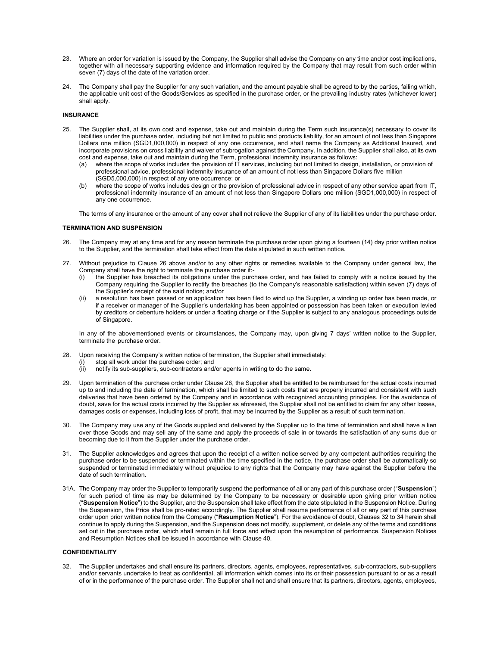- 23. Where an order for variation is issued by the Company, the Supplier shall advise the Company on any time and/or cost implications, together with all necessary supporting evidence and information required by the Company that may result from such order within seven (7) days of the date of the variation order.
- 24. The Company shall pay the Supplier for any such variation, and the amount payable shall be agreed to by the parties, failing which, the applicable unit cost of the Goods/Services as specified in the purchase order, or the prevailing industry rates (whichever lower) shall apply.

# INSURANCE

- 25. The Supplier shall, at its own cost and expense, take out and maintain during the Term such insurance(s) necessary to cover its liabilities under the purchase order, including but not limited to public and products liability, for an amount of not less than Singapore Dollars one million (SGD1,000,000) in respect of any one occurrence, and shall name the Company as Additional Insured, and incorporate provisions on cross liability and waiver of subrogation against the Company. In addition, the Supplier shall also, at its own cost and expense, take out and maintain during the Term, professional indemnity insurance as follows:
	- (a) where the scope of works includes the provision of IT services, including but not limited to design, installation, or provision of professional advice, professional indemnity insurance of an amount of not less than Singapore Dollars five million (SGD5,000,000) in respect of any one occurrence; or
	- (b) where the scope of works includes design or the provision of professional advice in respect of any other service apart from IT, professional indemnity insurance of an amount of not less than Singapore Dollars one million (SGD1,000,000) in respect of any one occurrence.

The terms of any insurance or the amount of any cover shall not relieve the Supplier of any of its liabilities under the purchase order.

#### TERMINATION AND SUSPENSION

- 26. The Company may at any time and for any reason terminate the purchase order upon giving a fourteen (14) day prior written notice to the Supplier, and the termination shall take effect from the date stipulated in such written notice.
- 27. Without prejudice to Clause 26 above and/or to any other rights or remedies available to the Company under general law, the Company shall have the right to terminate the purchase order if:
	- the Supplier has breached its obligations under the purchase order, and has failed to comply with a notice issued by the Company requiring the Supplier to rectify the breaches (to the Company's reasonable satisfaction) within seven (7) days of the Supplier's receipt of the said notice; and/or
	- a resolution has been passed or an application has been filed to wind up the Supplier, a winding up order has been made, or if a receiver or manager of the Supplier's undertaking has been appointed or possession has been taken or execution levied by creditors or debenture holders or under a floating charge or if the Supplier is subject to any analogous proceedings outside of Singapore.

In any of the abovementioned events or circumstances, the Company may, upon giving 7 days' written notice to the Supplier, terminate the purchase order.

- 28. Upon receiving the Company's written notice of termination, the Supplier shall immediately:
	- stop all work under the purchase order; and
	- (ii) notify its sub-suppliers, sub-contractors and/or agents in writing to do the same.
- 29. Upon termination of the purchase order under Clause 26, the Supplier shall be entitled to be reimbursed for the actual costs incurred up to and including the date of termination, which shall be limited to such costs that are properly incurred and consistent with such deliveries that have been ordered by the Company and in accordance with recognized accounting principles. For the avoidance of doubt, save for the actual costs incurred by the Supplier as aforesaid, the Supplier shall not be entitled to claim for any other losses, damages costs or expenses, including loss of profit, that may be incurred by the Supplier as a result of such termination.
- 30. The Company may use any of the Goods supplied and delivered by the Supplier up to the time of termination and shall have a lien over those Goods and may sell any of the same and apply the proceeds of sale in or towards the satisfaction of any sums due or becoming due to it from the Supplier under the purchase order.
- 31. The Supplier acknowledges and agrees that upon the receipt of a written notice served by any competent authorities requiring the purchase order to be suspended or terminated within the time specified in the notice, the purchase order shall be automatically so suspended or terminated immediately without prejudice to any rights that the Company may have against the Supplier before the date of such termination.
- 31A. The Company may order the Supplier to temporarily suspend the performance of all or any part of this purchase order ("Suspension") for such period of time as may be determined by the Company to be necessary or desirable upon giving prior written notice ("Suspension Notice") to the Supplier, and the Suspension shall take effect from the date stipulated in the Suspension Notice. During the Suspension, the Price shall be pro-rated accordingly. The Supplier shall resume performance of all or any part of this purchase order upon prior written notice from the Company ("Resumption Notice"). For the avoidance of doubt, Clauses 32 to 34 herein shall continue to apply during the Suspension, and the Suspension does not modify, supplement, or delete any of the terms and conditions set out in the purchase order, which shall remain in full force and effect upon the resumption of performance. Suspension Notices and Resumption Notices shall be issued in accordance with Clause 40.

# **CONFIDENTIALITY**

32. The Supplier undertakes and shall ensure its partners, directors, agents, employees, representatives, sub-contractors, sub-suppliers and/or servants undertake to treat as confidential, all information which comes into its or their possession pursuant to or as a result of or in the performance of the purchase order. The Supplier shall not and shall ensure that its partners, directors, agents, employees,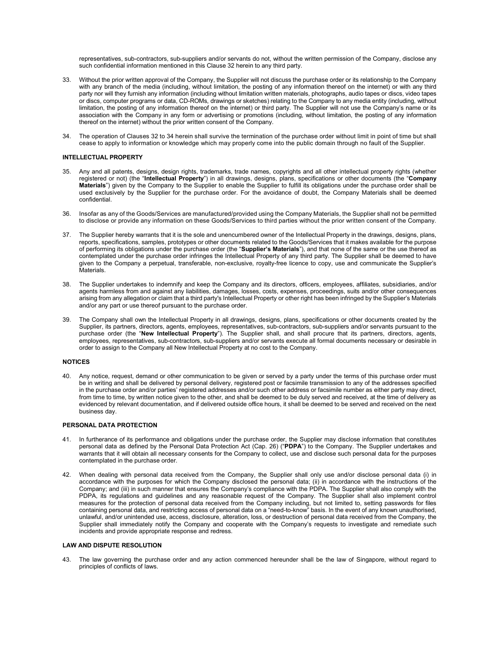representatives, sub-contractors, sub-suppliers and/or servants do not, without the written permission of the Company, disclose any such confidential information mentioned in this Clause 32 herein to any third party.

- 33. Without the prior written approval of the Company, the Supplier will not discuss the purchase order or its relationship to the Company with any branch of the media (including, without limitation, the posting of any information thereof on the internet) or with any third party nor will they furnish any information (including without limitation written materials, photographs, audio tapes or discs, video tapes or discs, computer programs or data, CD-ROMs, drawings or sketches) relating to the Company to any media entity (including, without limitation, the posting of any information thereof on the internet) or third party. The Supplier will not use the Company's name or its association with the Company in any form or advertising or promotions (including, without limitation, the posting of any information thereof on the internet) without the prior written consent of the Company.
- 34. The operation of Clauses 32 to 34 herein shall survive the termination of the purchase order without limit in point of time but shall cease to apply to information or knowledge which may properly come into the public domain through no fault of the Supplier.

# INTELLECTUAL PROPERTY

- 35. Any and all patents, designs, design rights, trademarks, trade names, copyrights and all other intellectual property rights (whether registered or not) (the "Intellectual Property") in all drawings, designs, plans, specifications or other documents (the "Company Materials") given by the Company to the Supplier to enable the Supplier to fulfill its obligations under the purchase order shall be used exclusively by the Supplier for the purchase order. For the avoidance of doubt, the Company Materials shall be deemed confidential.
- 36. Insofar as any of the Goods/Services are manufactured/provided using the Company Materials, the Supplier shall not be permitted to disclose or provide any information on these Goods/Services to third parties without the prior written consent of the Company.
- 37. The Supplier hereby warrants that it is the sole and unencumbered owner of the Intellectual Property in the drawings, designs, plans, reports, specifications, samples, prototypes or other documents related to the Goods/Services that it makes available for the purpose of performing its obligations under the purchase order (the "Supplier's Materials"), and that none of the same or the use thereof as contemplated under the purchase order infringes the Intellectual Property of any third party. The Supplier shall be deemed to have given to the Company a perpetual, transferable, non-exclusive, royalty-free licence to copy, use and communicate the Supplier's **Materials**
- 38. The Supplier undertakes to indemnify and keep the Company and its directors, officers, employees, affiliates, subsidiaries, and/or agents harmless from and against any liabilities, damages, losses, costs, expenses, proceedings, suits and/or other consequences arising from any allegation or claim that a third party's Intellectual Property or other right has been infringed by the Supplier's Materials and/or any part or use thereof pursuant to the purchase order.
- 39. The Company shall own the Intellectual Property in all drawings, designs, plans, specifications or other documents created by the Supplier, its partners, directors, agents, employees, representatives, sub-contractors, sub-suppliers and/or servants pursuant to the purchase order (the "New Intellectual Property"). The Supplier shall, and shall procure that its partners, directors, agents, employees, representatives, sub-contractors, sub-suppliers and/or servants execute all formal documents necessary or desirable in order to assign to the Company all New Intellectual Property at no cost to the Company.

#### NOTICES

40. Any notice, request, demand or other communication to be given or served by a party under the terms of this purchase order must be in writing and shall be delivered by personal delivery, registered post or facsimile transmission to any of the addresses specified in the purchase order and/or parties' registered addresses and/or such other address or facsimile number as either party may direct, from time to time, by written notice given to the other, and shall be deemed to be duly served and received, at the time of delivery as evidenced by relevant documentation, and if delivered outside office hours, it shall be deemed to be served and received on the next business day.

# PERSONAL DATA PROTECTION

- 41. In furtherance of its performance and obligations under the purchase order, the Supplier may disclose information that constitutes personal data as defined by the Personal Data Protection Act (Cap. 26) ("PDPA") to the Company. The Supplier undertakes and warrants that it will obtain all necessary consents for the Company to collect, use and disclose such personal data for the purposes contemplated in the purchase order.
- 42. When dealing with personal data received from the Company, the Supplier shall only use and/or disclose personal data (i) in accordance with the purposes for which the Company disclosed the personal data; (ii) in accordance with the instructions of the Company; and (iii) in such manner that ensures the Company's compliance with the PDPA. The Supplier shall also comply with the PDPA, its regulations and guidelines and any reasonable request of the Company. The Supplier shall also implement control measures for the protection of personal data received from the Company including, but not limited to, setting passwords for files containing personal data, and restricting access of personal data on a "need-to-know" basis. In the event of any known unauthorised, unlawful, and/or unintended use, access, disclosure, alteration, loss, or destruction of personal data received from the Company, the Supplier shall immediately notify the Company and cooperate with the Company's requests to investigate and remediate such incidents and provide appropriate response and redress.

#### LAW AND DISPUTE RESOLUTION

43. The law governing the purchase order and any action commenced hereunder shall be the law of Singapore, without regard to principles of conflicts of laws.